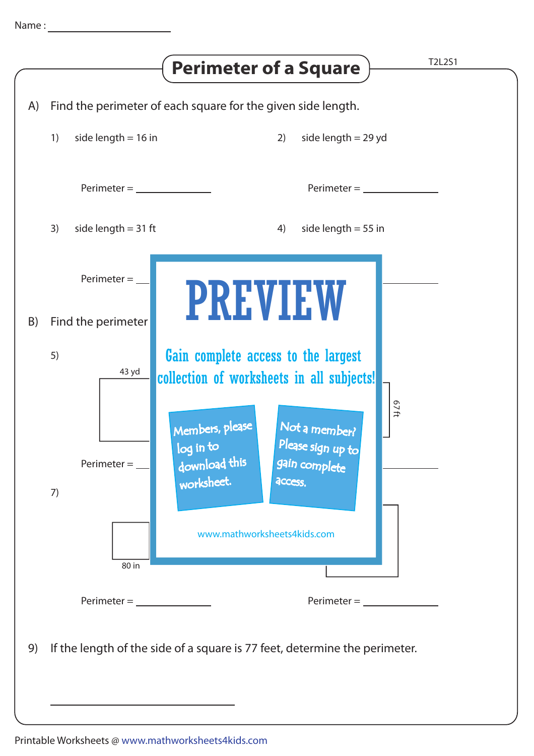